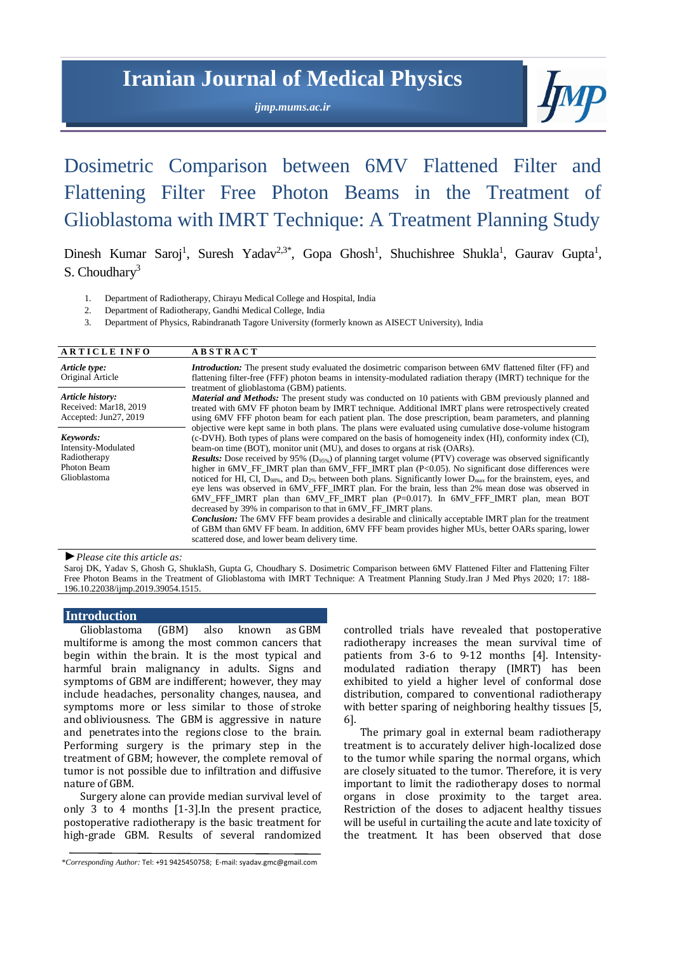# **Iranian Journal of Medical Physics**

*ijmp.mums.ac.ir*



# Dosimetric Comparison between 6MV Flattened Filter and Flattening Filter Free Photon Beams in the Treatment of Glioblastoma with IMRT Technique: A Treatment Planning Study

Dinesh Kumar Saroj<sup>1</sup>, Suresh Yadav<sup>2,3\*</sup>, Gopa Ghosh<sup>1</sup>, Shuchishree Shukla<sup>1</sup>, Gaurav Gupta<sup>1</sup>, S. Choudhary<sup>3</sup>

- 1. Department of Radiotherapy, Chirayu Medical College and Hospital, India
- 2. Department of Radiotherapy, Gandhi Medical College, India
- 3. Department of Physics, Rabindranath Tagore University (formerly known as AISECT University), India

| <b>ARTICLE INFO</b>                                                             | <b>ABSTRACT</b>                                                                                                                                                                                                                                                                                                                                                                                                                                                                                                                                                                                                                                                                                                                                                                                                                                                                                                                                                                                                                                                                                                                                                                                                                   |
|---------------------------------------------------------------------------------|-----------------------------------------------------------------------------------------------------------------------------------------------------------------------------------------------------------------------------------------------------------------------------------------------------------------------------------------------------------------------------------------------------------------------------------------------------------------------------------------------------------------------------------------------------------------------------------------------------------------------------------------------------------------------------------------------------------------------------------------------------------------------------------------------------------------------------------------------------------------------------------------------------------------------------------------------------------------------------------------------------------------------------------------------------------------------------------------------------------------------------------------------------------------------------------------------------------------------------------|
| Article type:<br>Original Article                                               | <i>Introduction:</i> The present study evaluated the dosimetric comparison between 6MV flattened filter (FF) and<br>flattening filter-free (FFF) photon beams in intensity-modulated radiation therapy (IMRT) technique for the<br>treatment of glioblastoma (GBM) patients.                                                                                                                                                                                                                                                                                                                                                                                                                                                                                                                                                                                                                                                                                                                                                                                                                                                                                                                                                      |
| Article history:<br>Received: Mar18, 2019<br>Accepted: Jun27, 2019              | <b>Material and Methods:</b> The present study was conducted on 10 patients with GBM previously planned and<br>treated with 6MV FF photon beam by IMRT technique. Additional IMRT plans were retrospectively created<br>using 6MV FFF photon beam for each patient plan. The dose prescription, beam parameters, and planning                                                                                                                                                                                                                                                                                                                                                                                                                                                                                                                                                                                                                                                                                                                                                                                                                                                                                                     |
| Keywords:<br>Intensity-Modulated<br>Radiotherapy<br>Photon Beam<br>Glioblastoma | objective were kept same in both plans. The plans were evaluated using cumulative dose-volume histogram<br>(c-DVH). Both types of plans were compared on the basis of homogeneity index (HI), conformity index (CI),<br>beam-on time (BOT), monitor unit (MU), and doses to organs at risk (OARs).<br><b>Results:</b> Dose received by 95% ( $D_{95\%}$ ) of planning target volume (PTV) coverage was observed significantly<br>higher in 6MV_FF_IMRT plan than 6MV_FFF_IMRT plan (P<0.05). No significant dose differences were<br>noticed for HI, CI, D <sub>98%</sub> , and D <sub>2%</sub> between both plans. Significantly lower D <sub>max</sub> for the brainstem, eyes, and<br>eye lens was observed in 6MV FFF IMRT plan. For the brain, less than 2% mean dose was observed in<br>$6MV$ FFF IMRT plan than $6MV$ FF IMRT plan $(P=0.017)$ . In $6MV$ FFF IMRT plan, mean BOT<br>decreased by 39% in comparison to that in 6MV FF IMRT plans.<br><b>Conclusion:</b> The 6MV FFF beam provides a desirable and clinically acceptable IMRT plan for the treatment<br>of GBM than 6MV FF beam. In addition, 6MV FFF beam provides higher MUs, better OARs sparing, lower<br>scattered dose, and lower beam delivery time. |

*►Please cite this article as:*

Saroj DK, Yadav S, Ghosh G, ShuklaSh, Gupta G, Choudhary S. Dosimetric Comparison between 6MV Flattened Filter and Flattening Filter Free Photon Beams in the Treatment of Glioblastoma with IMRT Technique: A Treatment Planning Study.Iran J Med Phys 2020; 17: 188- 196.10.22038/ijmp.2019.39054.1515.

# **Introduction**

Glioblastoma (GBM) also known as GBM multiforme is among the most common cancers that begin within the brain. It is the most typical and harmful brain malignancy in adults. Signs and symptoms of GBM are indifferent; however, they may include headaches, personality changes, nausea, and symptoms more or less similar to those of stroke and obliviousness. The GBM is aggressive in nature and penetrates into the regions close to the brain. Performing surgery is the primary step in the treatment of GBM; however, the complete removal of tumor is not possible due to infiltration and diffusive nature of GBM.

Surgery alone can provide median survival level of only 3 to 4 months [1-3].In the present practice, postoperative radiotherapy is the basic treatment for high-grade GBM. Results of several randomized

\**Corresponding Author:* Tel: +91 9425450758; E-mail[: syadav.gmc@gmail.com](mailto:syadav.gmc@gmail.com)

controlled trials have revealed that postoperative radiotherapy increases the mean survival time of patients from 3-6 to 9-12 months [4]. Intensitymodulated radiation therapy (IMRT) has been exhibited to yield a higher level of conformal dose distribution, compared to conventional radiotherapy with better sparing of neighboring healthy tissues [5, 6].

The primary goal in external beam radiotherapy treatment is to accurately deliver high-localized dose to the tumor while sparing the normal organs, which are closely situated to the tumor. Therefore, it is very important to limit the radiotherapy doses to normal organs in close proximity to the target area. Restriction of the doses to adjacent healthy tissues will be useful in curtailing the acute and late toxicity of the treatment. It has been observed that dose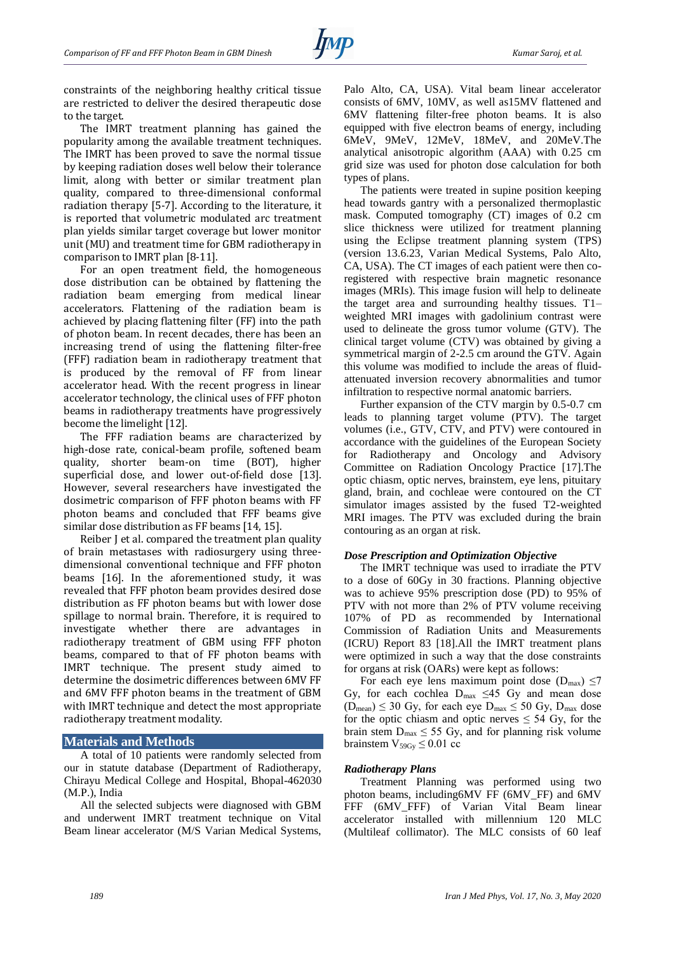constraints of the neighboring healthy critical tissue are restricted to deliver the desired therapeutic dose to the target.

The IMRT treatment planning has gained the popularity among the available treatment techniques. The IMRT has been proved to save the normal tissue by keeping radiation doses well below their tolerance limit, along with better or similar treatment plan quality, compared to three-dimensional conformal radiation therapy [5-7]. According to the literature, it is reported that volumetric modulated arc treatment plan yields similar target coverage but lower monitor unit (MU) and treatment time for GBM radiotherapy in comparison to IMRT plan [8-11].

For an open treatment field, the homogeneous dose distribution can be obtained by flattening the radiation beam emerging from medical linear accelerators. Flattening of the radiation beam is achieved by placing flattening filter (FF) into the path of photon beam. In recent decades, there has been an increasing trend of using the flattening filter-free (FFF) radiation beam in radiotherapy treatment that is produced by the removal of FF from linear accelerator head. With the recent progress in linear accelerator technology, the clinical uses of FFF photon beams in radiotherapy treatments have progressively become the limelight [12].

The FFF radiation beams are characterized by high-dose rate, conical-beam profile, softened beam quality, shorter beam-on time (BOT), higher superficial dose, and lower out-of-field dose [13]. However, several researchers have investigated the dosimetric comparison of FFF photon beams with FF photon beams and concluded that FFF beams give similar dose distribution as FF beams [14, 15].

Reiber J et al. compared the treatment plan quality of brain metastases with radiosurgery using threedimensional conventional technique and FFF photon beams [16]. In the aforementioned study, it was revealed that FFF photon beam provides desired dose distribution as FF photon beams but with lower dose spillage to normal brain. Therefore, it is required to investigate whether there are advantages in radiotherapy treatment of GBM using FFF photon beams, compared to that of FF photon beams with IMRT technique. The present study aimed to determine the dosimetric differences between 6MV FF and 6MV FFF photon beams in the treatment of GBM with IMRT technique and detect the most appropriate radiotherapy treatment modality.

## **Materials and Methods**

A total of 10 patients were randomly selected from our in statute database (Department of Radiotherapy, Chirayu Medical College and Hospital, Bhopal-462030 (M.P.), India

All the selected subjects were diagnosed with GBM and underwent IMRT treatment technique on Vital Beam linear accelerator (M/S Varian Medical Systems, Palo Alto, CA, USA). Vital beam linear accelerator consists of 6MV, 10MV, as well as15MV flattened and 6MV flattening filter-free photon beams. It is also equipped with five electron beams of energy, including 6MeV, 9MeV, 12MeV, 18MeV, and 20MeV.The analytical anisotropic algorithm (AAA) with 0.25 cm grid size was used for photon dose calculation for both types of plans.

The patients were treated in supine position keeping head towards gantry with a personalized thermoplastic mask. Computed tomography (CT) images of 0.2 cm slice thickness were utilized for treatment planning using the Eclipse treatment planning system (TPS) (version 13.6.23, Varian Medical Systems, Palo Alto, CA, USA). The CT images of each patient were then coregistered with respective brain magnetic resonance images (MRIs). This image fusion will help to delineate the target area and surrounding healthy tissues. T1– weighted MRI images with gadolinium contrast were used to delineate the gross tumor volume (GTV). The clinical target volume (CTV) was obtained by giving a symmetrical margin of 2-2.5 cm around the GTV. Again this volume was modified to include the areas of fluidattenuated inversion recovery abnormalities and tumor infiltration to respective normal anatomic barriers.

Further expansion of the CTV margin by 0.5-0.7 cm leads to planning target volume (PTV). The target volumes (i.e., GTV, CTV, and PTV) were contoured in accordance with the guidelines of the European Society for Radiotherapy and Oncology and Advisory Committee on Radiation Oncology Practice [17].The optic chiasm, optic nerves, brainstem, eye lens, pituitary gland, brain, and cochleae were contoured on the CT simulator images assisted by the fused T2-weighted MRI images. The PTV was excluded during the brain contouring as an organ at risk.

## *Dose Prescription and Optimization Objective*

The IMRT technique was used to irradiate the PTV to a dose of 60Gy in 30 fractions. Planning objective was to achieve 95% prescription dose (PD) to 95% of PTV with not more than 2% of PTV volume receiving 107% of PD as recommended by International Commission of Radiation Units and Measurements (ICRU) Report 83 [18].All the IMRT treatment plans were optimized in such a way that the dose constraints for organs at risk (OARs) were kept as follows:

For each eye lens maximum point dose  $(D_{max}) \le 7$ Gy, for each cochlea  $D_{\text{max}} \leq 45$  Gy and mean dose  $(D_{mean}) \leq 30$  Gy, for each eye  $D_{max} \leq 50$  Gy,  $D_{max}$  dose for the optic chiasm and optic nerves  $\leq$  54 Gy, for the brain stem  $D_{\text{max}} \leq 55$  Gy, and for planning risk volume brainstem  $V_{59Gy} \leq 0.01$  cc

## *Radiotherapy Plans*

Treatment Planning was performed using two photon beams, including6MV FF (6MV\_FF) and 6MV FFF (6MV\_FFF) of Varian Vital Beam linear accelerator installed with millennium 120 MLC (Multileaf collimator). The MLC consists of 60 leaf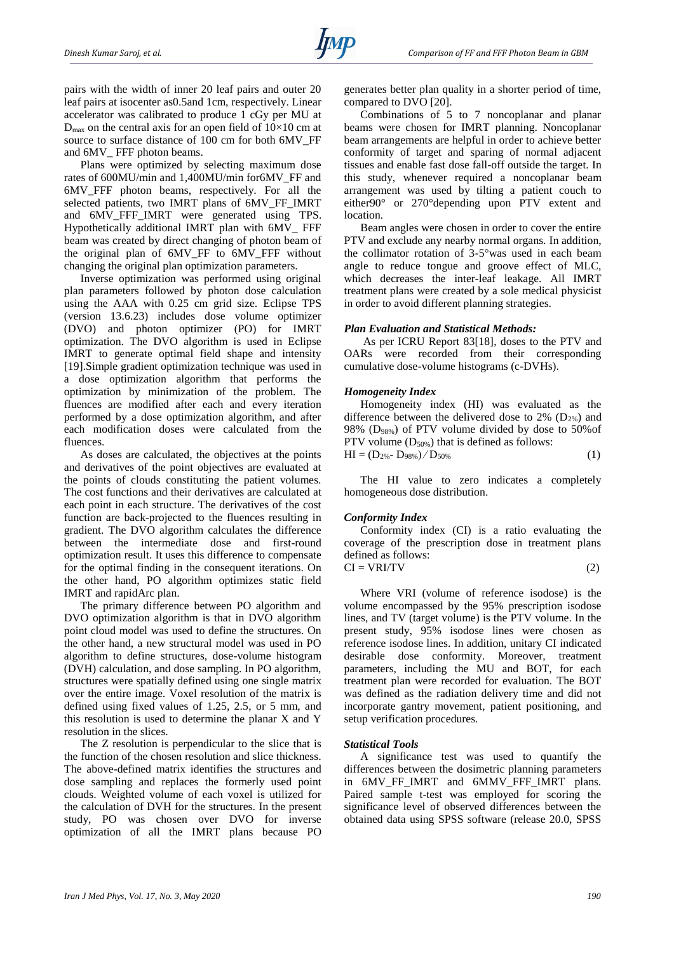pairs with the width of inner 20 leaf pairs and outer 20 leaf pairs at isocenter as0.5and 1cm, respectively. Linear accelerator was calibrated to produce 1 cGy per MU at  $D_{\text{max}}$  on the central axis for an open field of 10×10 cm at source to surface distance of 100 cm for both 6MV\_FF and 6MV\_ FFF photon beams.

Plans were optimized by selecting maximum dose rates of 600MU/min and 1,400MU/min for6MV\_FF and 6MV\_FFF photon beams, respectively. For all the selected patients, two IMRT plans of 6MV\_FF\_IMRT and 6MV\_FFF\_IMRT were generated using TPS. Hypothetically additional IMRT plan with 6MV\_ FFF beam was created by direct changing of photon beam of the original plan of 6MV\_FF to 6MV\_FFF without changing the original plan optimization parameters.

Inverse optimization was performed using original plan parameters followed by photon dose calculation using the AAA with 0.25 cm grid size. Eclipse TPS (version 13.6.23) includes dose volume optimizer (DVO) and photon optimizer (PO) for IMRT optimization. The DVO algorithm is used in Eclipse IMRT to generate optimal field shape and intensity [19].Simple gradient optimization technique was used in a dose optimization algorithm that performs the optimization by minimization of the problem. The fluences are modified after each and every iteration performed by a dose optimization algorithm, and after each modification doses were calculated from the fluences.

As doses are calculated, the objectives at the points and derivatives of the point objectives are evaluated at the points of clouds constituting the patient volumes. The cost functions and their derivatives are calculated at each point in each structure. The derivatives of the cost function are back-projected to the fluences resulting in gradient. The DVO algorithm calculates the difference between the intermediate dose and first-round optimization result. It uses this difference to compensate for the optimal finding in the consequent iterations. On the other hand, PO algorithm optimizes static field IMRT and rapidArc plan.

The primary difference between PO algorithm and DVO optimization algorithm is that in DVO algorithm point cloud model was used to define the structures. On the other hand, a new structural model was used in PO algorithm to define structures, dose-volume histogram (DVH) calculation, and dose sampling. In PO algorithm, structures were spatially defined using one single matrix over the entire image. Voxel resolution of the matrix is defined using fixed values of 1.25, 2.5, or 5 mm, and this resolution is used to determine the planar X and Y resolution in the slices.

The Z resolution is perpendicular to the slice that is the function of the chosen resolution and slice thickness. The above-defined matrix identifies the structures and dose sampling and replaces the formerly used point clouds. Weighted volume of each voxel is utilized for the calculation of DVH for the structures. In the present study, PO was chosen over DVO for inverse optimization of all the IMRT plans because PO generates better plan quality in a shorter period of time, compared to DVO [20].

Combinations of 5 to 7 noncoplanar and planar beams were chosen for IMRT planning. Noncoplanar beam arrangements are helpful in order to achieve better conformity of target and sparing of normal adjacent tissues and enable fast dose fall-off outside the target. In this study, whenever required a noncoplanar beam arrangement was used by tilting a patient couch to either90° or 270°depending upon PTV extent and location.

Beam angles were chosen in order to cover the entire PTV and exclude any nearby normal organs. In addition, the collimator rotation of 3-5°was used in each beam angle to reduce tongue and groove effect of MLC, which decreases the inter-leaf leakage. All IMRT treatment plans were created by a sole medical physicist in order to avoid different planning strategies.

#### *Plan Evaluation and Statistical Methods:*

As per ICRU Report 83[18], doses to the PTV and OARs were recorded from their corresponding cumulative dose-volume histograms (c-DVHs).

#### *Homogeneity Index*

Homogeneity index (HI) was evaluated as the difference between the delivered dose to 2%  $(D_{2\%})$  and 98% (D98%) of PTV volume divided by dose to 50%of PTV volume  $(D_{50\%})$  that is defined as follows:  $HI = (D_{2\%} - D_{98\%}) / D_{50\%}$  (1)

The HI value to zero indicates a completely homogeneous dose distribution.

## *Conformity Index*

Conformity index (CI) is a ratio evaluating the coverage of the prescription dose in treatment plans defined as follows:  $CI = VRI/TV$  (2)

Where VRI (volume of reference isodose) is the volume encompassed by the 95% prescription isodose lines, and TV (target volume) is the PTV volume. In the present study, 95% isodose lines were chosen as reference isodose lines. In addition, unitary CI indicated desirable dose conformity. Moreover, treatment parameters, including the MU and BOT, for each treatment plan were recorded for evaluation. The BOT was defined as the radiation delivery time and did not incorporate gantry movement, patient positioning, and setup verification procedures.

#### *Statistical Tools*

A significance test was used to quantify the differences between the dosimetric planning parameters in 6MV\_FF\_IMRT and 6MMV\_FFF\_IMRT plans. Paired sample t-test was employed for scoring the significance level of observed differences between the obtained data using SPSS software (release 20.0, SPSS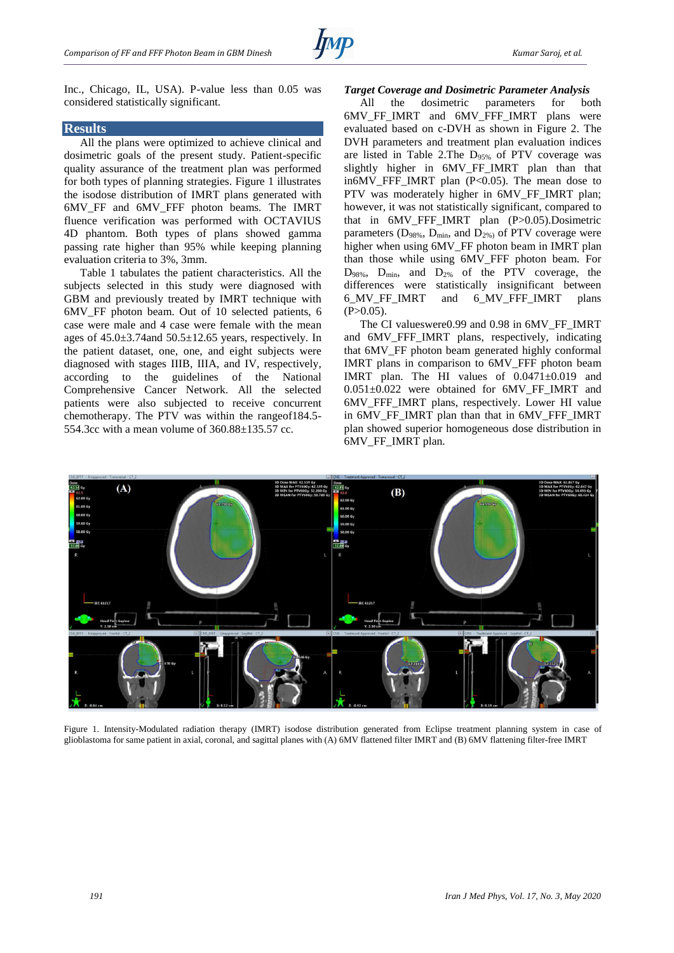

Inc., Chicago, IL, USA). P-value less than 0.05 was considered statistically significant.

#### **Results**

All the plans were optimized to achieve clinical and dosimetric goals of the present study. Patient-specific quality assurance of the treatment plan was performed for both types of planning strategies. Figure 1 illustrates the isodose distribution of IMRT plans generated with 6MV\_FF and 6MV\_FFF photon beams. The IMRT fluence verification was performed with OCTAVIUS 4D phantom. Both types of plans showed gamma passing rate higher than 95% while keeping planning evaluation criteria to 3%, 3mm.

Table 1 tabulates the patient characteristics. All the subjects selected in this study were diagnosed with GBM and previously treated by IMRT technique with 6MV\_FF photon beam. Out of 10 selected patients, 6 case were male and 4 case were female with the mean ages of  $45.0 \pm 3.74$  and  $50.5 \pm 12.65$  years, respectively. In the patient dataset, one, one, and eight subjects were diagnosed with stages IIIB, IIIA, and IV, respectively, according to the guidelines of the National Comprehensive Cancer Network. All the selected patients were also subjected to receive concurrent chemotherapy. The PTV was within the rangeof184.5- 554.3cc with a mean volume of 360.88±135.57 cc.

### *Target Coverage and Dosimetric Parameter Analysis*

All the dosimetric parameters for both 6MV\_FF\_IMRT and 6MV\_FFF\_IMRT plans were evaluated based on c-DVH as shown in Figure 2. The DVH parameters and treatment plan evaluation indices are listed in Table 2. The  $D_{95\%}$  of PTV coverage was slightly higher in 6MV FF IMRT plan than that in6MV\_FFF\_IMRT plan (P<0.05). The mean dose to PTV was moderately higher in 6MV FF IMRT plan; however, it was not statistically significant, compared to that in 6MV\_FFF\_IMRT plan (P>0.05).Dosimetric parameters ( $D_{98\%}$ ,  $D_{\text{min}}$ , and  $D_{2\%}$ ) of PTV coverage were higher when using 6MV\_FF photon beam in IMRT plan than those while using 6MV\_FFF photon beam. For  $D_{98\%}$ ,  $D_{\text{min}}$ , and  $D_{2\%}$  of the PTV coverage, the differences were statistically insignificant between 6\_MV\_FF\_IMRT and 6\_MV\_FFF\_IMRT plans  $(P>0.05)$ .

The CI valueswere0.99 and 0.98 in 6MV\_FF\_IMRT and 6MV\_FFF\_IMRT plans, respectively, indicating that 6MV\_FF photon beam generated highly conformal IMRT plans in comparison to 6MV\_FFF photon beam IMRT plan. The HI values of 0.0471±0.019 and 0.051±0.022 were obtained for 6MV\_FF\_IMRT and 6MV\_FFF\_IMRT plans, respectively. Lower HI value in 6MV\_FF\_IMRT\_plan than that in 6MV\_FFF\_IMRT plan showed superior homogeneous dose distribution in 6MV\_FF\_IMRT plan.



Figure 1. Intensity-Modulated radiation therapy (IMRT) isodose distribution generated from Eclipse treatment planning system in case of glioblastoma for same patient in axial, coronal, and sagittal planes with (A) 6MV flattened filter IMRT and (B) 6MV flattening filter-free IMRT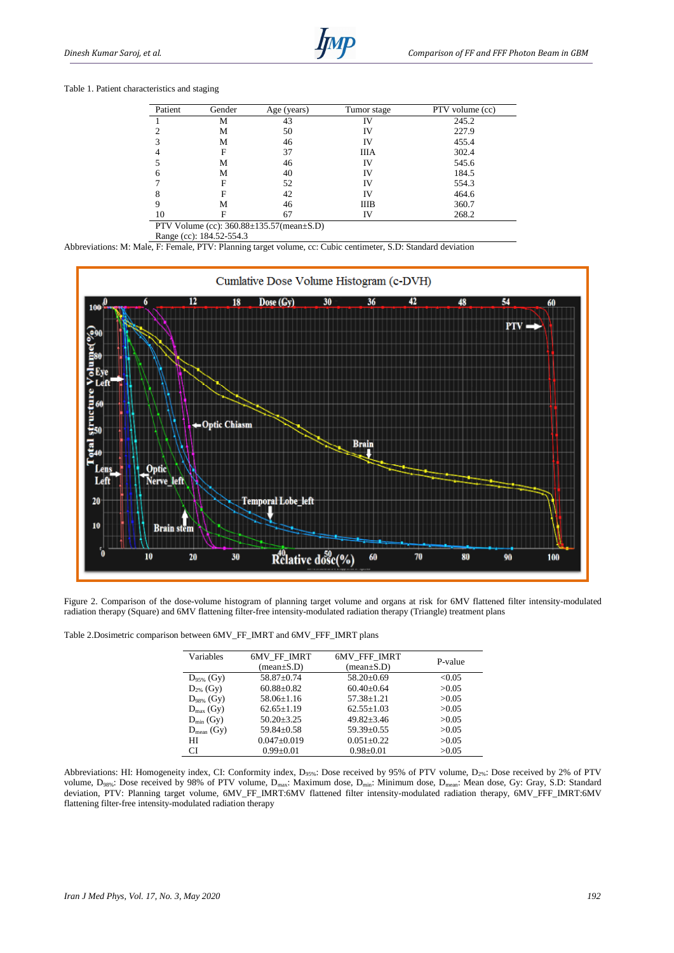## Table 1. Patient characteristics and staging

| Patient | Gender | Age (years)                                           | Tumor stage | PTV volume (cc) |
|---------|--------|-------------------------------------------------------|-------------|-----------------|
|         | M      | 43                                                    | IV          | 245.2           |
|         | М      | 50                                                    | IV          | 227.9           |
|         | М      | 46                                                    | IV          | 455.4           |
|         | F      | 37                                                    | <b>IIIA</b> | 302.4           |
|         | М      | 46                                                    | IV          | 545.6           |
| 6       | М      | 40                                                    | IV          | 184.5           |
|         | F      | 52                                                    | IV          | 554.3           |
| 8       | F      | 42                                                    | IV          | 464.6           |
|         | м      | 46                                                    | <b>IIIB</b> | 360.7           |
| 10      | F      | 67                                                    | IV          | 268.2           |
|         |        | $DTUU_{\text{olume}}(a_0), 260.99.125.57$ (mean) S.D. |             |                 |

PTV Volume (cc): 360.88±135.57(mean±S.D) Range (cc): 184.52-554.3

Abbreviations: M: Male, F: Female, PTV: Planning target volume, cc: Cubic centimeter, S.D: Standard deviation



Figure 2. Comparison of the dose-volume histogram of planning target volume and organs at risk for 6MV flattened filter intensity-modulated radiation therapy (Square) and 6MV flattening filter-free intensity-modulated radiation therapy (Triangle) treatment plans

| Table 2. Dosimetric comparison between $6MV$ <sub>FF</sub> _IMRT and $6MV$ <sub>FFF</sub> _IMRT plans |  |  |  |  |  |  |
|-------------------------------------------------------------------------------------------------------|--|--|--|--|--|--|
|-------------------------------------------------------------------------------------------------------|--|--|--|--|--|--|

| Variables             | 6MV FF IMRT             | <b>6MV FFF IMRT</b>    | P-value |
|-----------------------|-------------------------|------------------------|---------|
|                       | $(\text{mean} \pm S.D)$ | $(\text{mean}\pm S.D)$ |         |
| $D_{95\%}$ (Gy)       | 58.87+0.74              | $58.20 \pm 0.69$       | < 0.05  |
| $D_{2\%}$ (Gy)        | $60.88 \pm 0.82$        | $60.40 \pm 0.64$       | >0.05   |
| $D_{98\%}$ (Gy)       | $58.06 + 1.16$          | $57.38 + 1.21$         | >0.05   |
| $D_{\text{max}}$ (Gy) | $62.65 \pm 1.19$        | $62.55 \pm 1.03$       | >0.05   |
| $D_{\min}$ (Gy)       | $50.20 + 3.25$          | $49.82 + 3.46$         | >0.05   |
| $D_{mean}$ (Gy)       | $59.84 \pm 0.58$        | $59.39 + 0.55$         | >0.05   |
| HI                    | $0.047 \pm 0.019$       | $0.051 \pm 0.22$       | >0.05   |
| <b>CI</b>             | $0.99 \pm 0.01$         | $0.98 \pm 0.01$        | >0.05   |

Abbreviations: HI: Homogeneity index, CI: Conformity index, D<sub>95%</sub>: Dose received by 95% of PTV volume, D<sub>2%</sub>: Dose received by 2% of PTV volume, D<sub>98%</sub>: Dose received by 98% of PTV volume, D<sub>max</sub>: Maximum dose, D<sub>min</sub>: Minimum dose, D<sub>mean</sub>: Mean dose, Gy: Gray, S.D: Standard deviation, PTV: Planning target volume, 6MV\_FF\_IMRT:6MV flattened filter intensity-modulated radiation therapy, 6MV\_FFF\_IMRT:6MV flattening filter-free intensity-modulated radiation therapy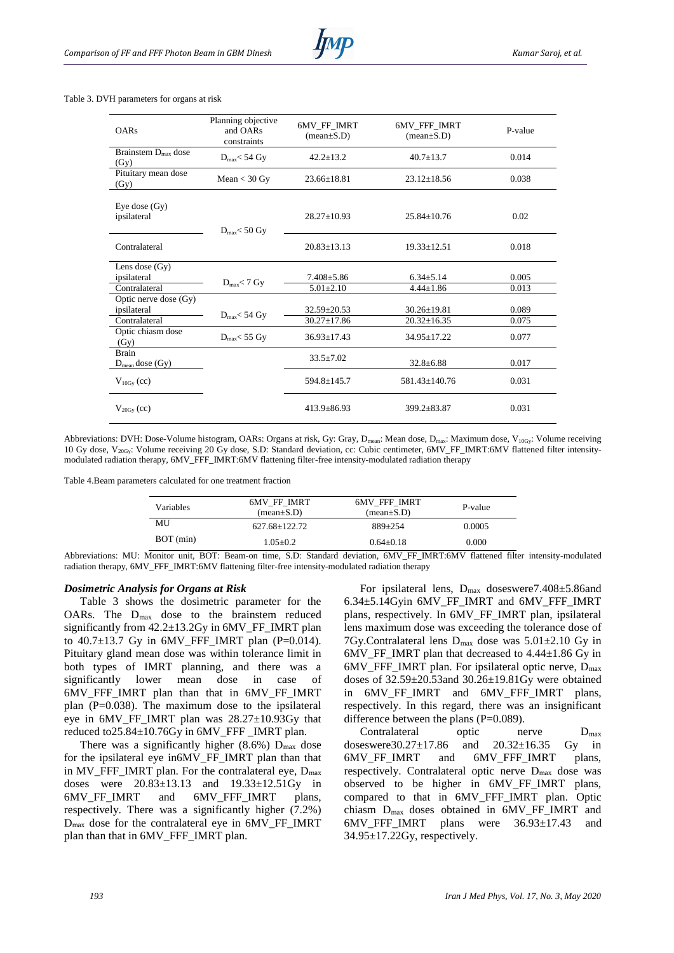#### Table 3. DVH parameters for organs at risk

| <b>OARs</b>                             | Planning objective<br>and OARs<br>constraints | 6MV_FF_IMRT<br>$(\text{mean}\pm S.D)$ | <b>6MV FFF IMRT</b><br>$(\text{mean} \pm S.D)$ | P-value |
|-----------------------------------------|-----------------------------------------------|---------------------------------------|------------------------------------------------|---------|
| Brainstem $D_{\text{max}}$ dose<br>(Gy) | $D_{\text{max}} < 54$ Gy                      | $42.2 + 13.2$                         | $40.7 + 13.7$                                  | 0.014   |
| Pituitary mean dose<br>(Gy)             | Mean $<$ 30 Gy                                | $23.66 + 18.81$                       | $23.12 \pm 18.56$                              | 0.038   |
| Eye dose $(Gy)$<br>ipsilateral          | $D_{max}$ < 50 Gy                             | $28.27 \pm 10.93$                     | $25.84 \pm 10.76$                              | 0.02    |
| Contralateral                           |                                               | $20.83 + 13.13$                       | $19.33 + 12.51$                                | 0.018   |
| Lens dose $(Gy)$                        |                                               |                                       |                                                |         |
| ipsilateral                             |                                               | $7.408 + 5.86$                        | $6.34 \pm 5.14$                                | 0.005   |
| Contralateral                           | $D_{max}$ < 7 Gy                              | $5.01 \pm 2.10$                       | $4.44 \pm 1.86$                                | 0.013   |
| Optic nerve dose (Gy)<br>ipsilateral    | $D_{max}$ < 54 Gy                             | $32.59 \pm 20.53$                     | $30.26 \pm 19.81$                              | 0.089   |
| Contralateral                           |                                               | $30.27 \pm 17.86$                     | $20.32 \pm 16.35$                              | 0.075   |
| Optic chiasm dose<br>(Gy)               | $D_{max}$ < 55 Gy                             | $36.93 \pm 17.43$                     | 34.95±17.22                                    | 0.077   |
| <b>Brain</b><br>$D_{mean}$ dose $(Gy)$  |                                               | $33.5 \pm 7.02$                       | $32.8 \pm 6.88$                                | 0.017   |
| $V_{10Gy}$ (cc)                         |                                               | 594.8±145.7                           | 581.43+140.76                                  | 0.031   |
| $V_{20\text{Gy}}\left(\text{cc}\right)$ |                                               | $413.9 + 86.93$                       | $399.2 \pm 83.87$                              | 0.031   |

Abbreviations: DVH: Dose-Volume histogram, OARs: Organs at risk, Gy: Gray, D<sub>mean</sub>: Mean dose, D<sub>max</sub>: Maximum dose, V<sub>10Gy</sub>: Volume receiving 10 Gy dose,  $V_{20Gy}$ : Volume receiving 20 Gy dose, S.D: Standard deviation, cc: Cubic centimeter,  $6MV_FF_MRT:6MV$  flattened filter intensitymodulated radiation therapy, 6MV\_FFF\_IMRT:6MV flattening filter-free intensity-modulated radiation therapy

Table 4.Beam parameters calculated for one treatment fraction

| <b>Variables</b> | 6MV FF IMRT<br>$(mean \pm S.D)$ | 6MV FFF IMRT<br>$(\text{mean}\pm S.D)$ | P-value |
|------------------|---------------------------------|----------------------------------------|---------|
| MU               | 627.68+122.72                   | $889 + 254$                            | 0.0005  |
| BOT (min)        | $1.05 + 0.2$                    | $0.64 + 0.18$                          | 0.000   |

Abbreviations: MU: Monitor unit, BOT: Beam-on time, S.D: Standard deviation, 6MV\_FF\_IMRT:6MV flattened filter intensity-modulated radiation therapy, 6MV\_FFF\_IMRT:6MV flattening filter-free intensity-modulated radiation therapy

#### *Dosimetric Analysis for Organs at Risk*

Table 3 shows the dosimetric parameter for the OARs. The  $D_{max}$  dose to the brainstem reduced significantly from 42.2±13.2Gy in 6MV\_FF\_IMRT plan to  $40.7 \pm 13.7$  Gy in 6MV FFF IMRT plan (P=0.014). Pituitary gland mean dose was within tolerance limit in both types of IMRT planning, and there was a significantly lower mean dose in case of 6MV\_FFF\_IMRT plan than that in 6MV\_FF\_IMRT plan (P=0.038). The maximum dose to the ipsilateral eye in 6MV\_FF\_IMRT plan was 28.27±10.93Gy that reduced to25.84±10.76Gy in 6MV\_FFF \_IMRT plan.

There was a significantly higher  $(8.6\%)$  D<sub>max</sub> dose for the ipsilateral eye in6MV\_FF\_IMRT plan than that in MV\_FFF\_IMRT plan. For the contralateral eye,  $D_{\text{max}}$ doses were 20.83±13.13 and 19.33±12.51Gy in 6MV\_FF\_IMRT and 6MV\_FFF\_IMRT plans, respectively. There was a significantly higher (7.2%) Dmax dose for the contralateral eye in 6MV\_FF\_IMRT plan than that in 6MV\_FFF\_IMRT plan.

For ipsilateral lens, Dmax doseswere7.408±5.86and  $6.34\pm5.14$ Gyin 6MV\_FF\_IMRT and 6MV\_FFF\_IMRT plans, respectively. In 6MV\_FF\_IMRT plan, ipsilateral lens maximum dose was exceeding the tolerance dose of 7Gy.Contralateral lens  $D_{\text{max}}$  dose was 5.01 $\pm$ 2.10 Gy in 6MV\_FF\_IMRT plan that decreased to 4.44±1.86 Gy in  $6MV$ <sub>FFF</sub>\_IMRT plan. For ipsilateral optic nerve,  $D_{max}$ doses of 32.59±20.53and 30.26±19.81Gy were obtained in 6MV\_FF\_IMRT and 6MV\_FFF\_IMRT plans, respectively. In this regard, there was an insignificant difference between the plans  $(P=0.089)$ .

Contralateral optic nerve  $D_{\text{max}}$ doseswere30.27±17.86 and 20.32±16.35 Gy in 6MV\_FF\_IMRT and 6MV\_FFF\_IMRT plans, respectively. Contralateral optic nerve Dmax dose was observed to be higher in 6MV\_FF\_IMRT plans, compared to that in 6MV FFF IMRT plan. Optic chiasm Dmax doses obtained in 6MV\_FF\_IMRT and 6MV\_FFF\_IMRT plans were 36.93±17.43 and  $34.95 \pm 17.22$  Gy, respectively.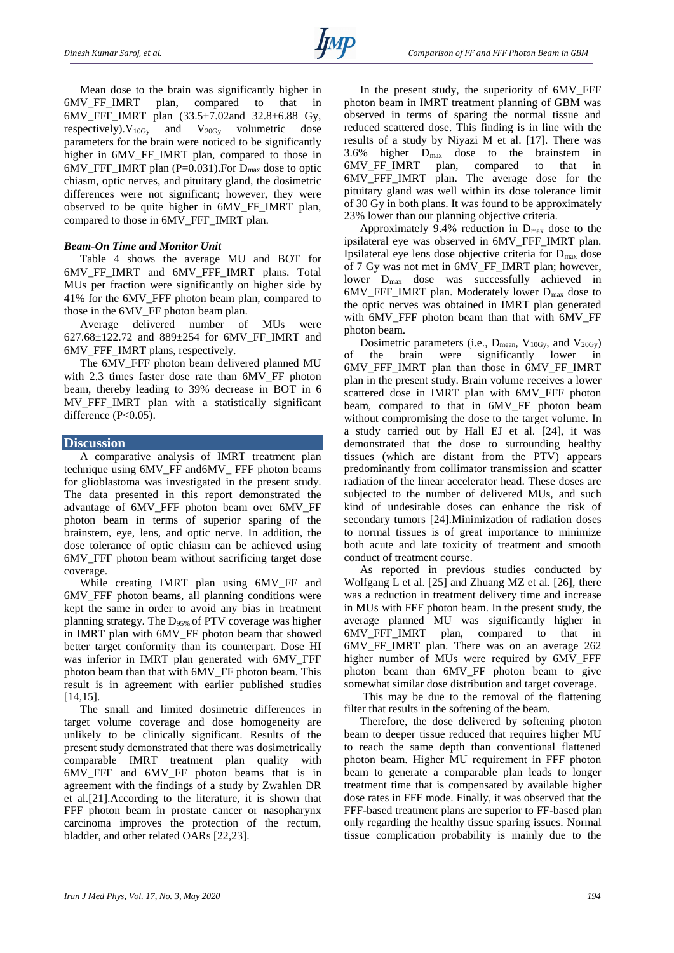Mean dose to the brain was significantly higher in 6MV\_FF\_IMRT plan, compared to that in 6MV\_FFF\_IMRT plan (33.5±7.02and 32.8±6.88 Gy, respectively).  $V_{10Gy}$  and  $V_{20Gy}$  volumetric dose parameters for the brain were noticed to be significantly higher in 6MV\_FF\_IMRT plan, compared to those in 6MV\_FFF\_IMRT plan (P=0.031). For  $D_{\text{max}}$  dose to optic chiasm, optic nerves, and pituitary gland, the dosimetric differences were not significant; however, they were observed to be quite higher in 6MV\_FF\_IMRT plan, compared to those in 6MV\_FFF\_IMRT plan.

# *Beam-On Time and Monitor Unit*

Table 4 shows the average MU and BOT for 6MV\_FF\_IMRT and 6MV\_FFF\_IMRT plans. Total MUs per fraction were significantly on higher side by 41% for the 6MV\_FFF photon beam plan, compared to those in the 6MV\_FF photon beam plan.

Average delivered number of MUs were 627.68±122.72 and 889±254 for 6MV\_FF\_IMRT and 6MV\_FFF\_IMRT plans, respectively.

The 6MV\_FFF photon beam delivered planned MU with 2.3 times faster dose rate than 6MV\_FF photon beam, thereby leading to 39% decrease in BOT in 6 MV\_FFF\_IMRT plan with a statistically significant difference  $(P<0.05)$ .

## **Discussion**

A comparative analysis of IMRT treatment plan technique using 6MV\_FF and6MV\_ FFF photon beams for glioblastoma was investigated in the present study. The data presented in this report demonstrated the advantage of 6MV\_FFF photon beam over 6MV\_FF photon beam in terms of superior sparing of the brainstem, eye, lens, and optic nerve. In addition, the dose tolerance of optic chiasm can be achieved using 6MV\_FFF photon beam without sacrificing target dose coverage.

While creating IMRT plan using 6MV\_FF and 6MV\_FFF photon beams, all planning conditions were kept the same in order to avoid any bias in treatment planning strategy. The D95% of PTV coverage was higher in IMRT plan with 6MV\_FF photon beam that showed better target conformity than its counterpart. Dose HI was inferior in IMRT plan generated with 6MV\_FFF photon beam than that with 6MV\_FF photon beam. This result is in agreement with earlier published studies [14,15].

The small and limited dosimetric differences in target volume coverage and dose homogeneity are unlikely to be clinically significant. Results of the present study demonstrated that there was dosimetrically comparable IMRT treatment plan quality with 6MV\_FFF and 6MV\_FF photon beams that is in agreement with the findings of a study by Zwahlen DR et al.[21].According to the literature, it is shown that FFF photon beam in prostate cancer or nasopharynx carcinoma improves the protection of the rectum, bladder, and other related OARs [22,23].

In the present study, the superiority of 6MV\_FFF photon beam in IMRT treatment planning of GBM was observed in terms of sparing the normal tissue and reduced scattered dose. This finding is in line with the results of a study by Niyazi M et al. [17]. There was 3.6% higher Dmax dose to the brainstem in 6MV\_FF\_IMRT plan, compared to that in 6MV\_FFF\_IMRT plan. The average dose for the pituitary gland was well within its dose tolerance limit of 30 Gy in both plans. It was found to be approximately 23% lower than our planning objective criteria.

Approximately 9.4% reduction in Dmax dose to the ipsilateral eye was observed in 6MV\_FFF\_IMRT plan. Ipsilateral eye lens dose objective criteria for Dmax dose of 7 Gy was not met in 6MV\_FF\_IMRT plan; however, lower  $D_{\text{max}}$  dose was successfully achieved in 6MV\_FFF\_IMRT plan. Moderately lower Dmax dose to the optic nerves was obtained in IMRT plan generated with 6MV FFF photon beam than that with 6MV FF photon beam.

Dosimetric parameters (i.e.,  $D_{mean}$ ,  $V_{10G_v}$ , and  $V_{20G_v}$ ) of the brain were significantly lower in 6MV\_FFF\_IMRT plan than those in 6MV\_FF\_IMRT plan in the present study. Brain volume receives a lower scattered dose in IMRT plan with 6MV\_FFF photon beam, compared to that in 6MV\_FF photon beam without compromising the dose to the target volume. In a study carried out by Hall EJ et al. [24], it was demonstrated that the dose to surrounding healthy tissues (which are distant from the PTV) appears predominantly from collimator transmission and scatter radiation of the linear accelerator head. These doses are subjected to the number of delivered MUs, and such kind of undesirable doses can enhance the risk of secondary tumors [24].Minimization of radiation doses to normal tissues is of great importance to minimize both acute and late toxicity of treatment and smooth conduct of treatment course.

As reported in previous studies conducted by Wolfgang L et al. [25] and Zhuang MZ et al. [26], there was a reduction in treatment delivery time and increase in MUs with FFF photon beam. In the present study, the average planned MU was significantly higher in 6MV\_FFF\_IMRT plan, compared to that in 6MV\_FF\_IMRT plan. There was on an average 262 higher number of MUs were required by 6MV\_FFF photon beam than 6MV\_FF photon beam to give somewhat similar dose distribution and target coverage.

This may be due to the removal of the flattening filter that results in the softening of the beam.

Therefore, the dose delivered by softening photon beam to deeper tissue reduced that requires higher MU to reach the same depth than conventional flattened photon beam. Higher MU requirement in FFF photon beam to generate a comparable plan leads to longer treatment time that is compensated by available higher dose rates in FFF mode. Finally, it was observed that the FFF-based treatment plans are superior to FF-based plan only regarding the healthy tissue sparing issues. Normal tissue complication probability is mainly due to the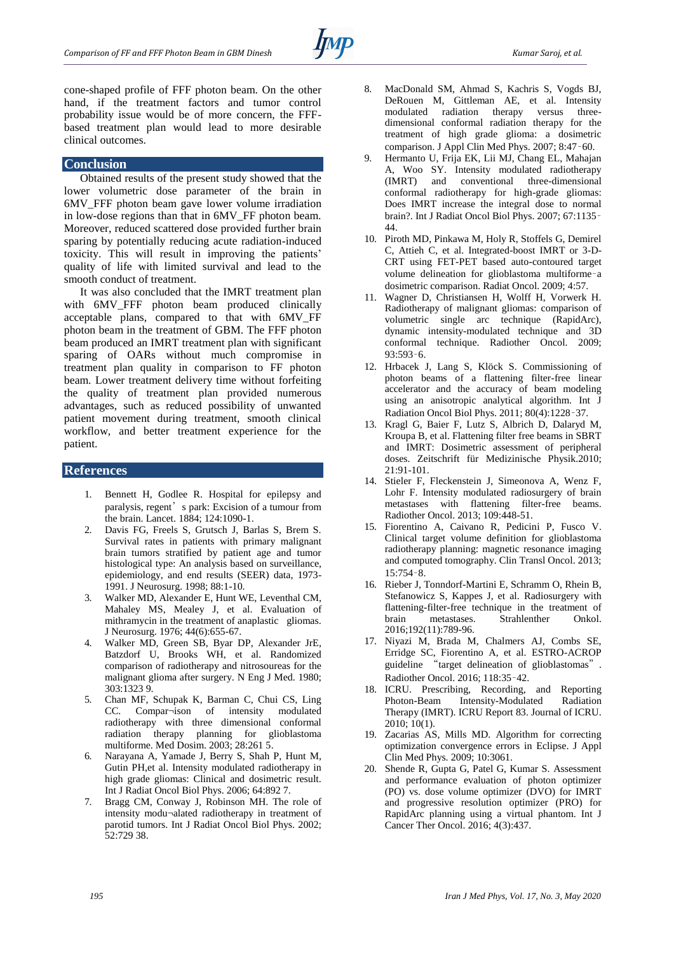cone-shaped profile of FFF photon beam. On the other hand, if the treatment factors and tumor control probability issue would be of more concern, the FFFbased treatment plan would lead to more desirable clinical outcomes.

## **Conclusion**

Obtained results of the present study showed that the lower volumetric dose parameter of the brain in 6MV\_FFF photon beam gave lower volume irradiation in low-dose regions than that in 6MV\_FF photon beam. Moreover, reduced scattered dose provided further brain sparing by potentially reducing acute radiation-induced toxicity. This will result in improving the patients' quality of life with limited survival and lead to the smooth conduct of treatment.

It was also concluded that the IMRT treatment plan with 6MV\_FFF photon beam produced clinically acceptable plans, compared to that with 6MV\_FF photon beam in the treatment of GBM. The FFF photon beam produced an IMRT treatment plan with significant sparing of OARs without much compromise in treatment plan quality in comparison to FF photon beam. Lower treatment delivery time without forfeiting the quality of treatment plan provided numerous advantages, such as reduced possibility of unwanted patient movement during treatment, smooth clinical workflow, and better treatment experience for the patient.

## **References**

- 1. Bennett H, Godlee R. Hospital for epilepsy and paralysis, regent's park: Excision of a tumour from the brain. Lancet. 1884; 124:1090-1.
- 2. Davis FG, Freels S, Grutsch J, Barlas S, Brem S. Survival rates in patients with primary malignant brain tumors stratified by patient age and tumor histological type: An analysis based on surveillance, epidemiology, and end results (SEER) data, 1973- 1991. J Neurosurg. 1998; 88:1-10.
- 3. Walker MD, Alexander E, Hunt WE, Leventhal CM, Mahaley MS, Mealey J, et al. Evaluation of mithramycin in the treatment of anaplastic gliomas. J Neurosurg. 1976; 44(6):655-67.
- 4. Walker MD, Green SB, Byar DP, Alexander JrE, Batzdorf U, Brooks WH, et al. Randomized comparison of radiotherapy and nitrosoureas for the malignant glioma after surgery. N Eng J Med. 1980; 303:1323 9.
- 5. Chan MF, Schupak K, Barman C, Chui CS, Ling CC. Compar¬ison of intensity modulated radiotherapy with three dimensional conformal radiation therapy planning for glioblastoma multiforme. Med Dosim. 2003; 28:261 5.
- 6. Narayana A, Yamade J, Berry S, Shah P, Hunt M, Gutin PH,et al. Intensity modulated radiotherapy in high grade gliomas: Clinical and dosimetric result. Int J Radiat Oncol Biol Phys. 2006; 64:892 7.
- 7. Bragg CM, Conway J, Robinson MH. The role of intensity modu¬alated radiotherapy in treatment of parotid tumors. Int J Radiat Oncol Biol Phys. 2002; 52:729 38.
- 8. MacDonald SM, Ahmad S, Kachris S, Vogds BJ, DeRouen M, Gittleman AE, et al. Intensity modulated radiation therapy versus threedimensional conformal radiation therapy for the treatment of high grade glioma: a dosimetric comparison. J Appl Clin Med Phys. 2007; 8:47–60.
- 9. Hermanto U, Frija EK, Lii MJ, Chang EL, Mahajan A, Woo SY. Intensity modulated radiotherapy<br>(IMRT) and conventional three-dimensional (IMRT) and conventional three-dimensional conformal radiotherapy for high-grade gliomas: Does IMRT increase the integral dose to normal brain?. Int J Radiat Oncol Biol Phys. 2007; 67:1135– 44.
- 10. Piroth MD, Pinkawa M, Holy R, Stoffels G, Demirel C, Attieh C, et al. Integrated-boost IMRT or 3-D-CRT using FET-PET based auto-contoured target volume delineation for glioblastoma multiforme–a dosimetric comparison. Radiat Oncol. 2009; 4:57.
- 11. Wagner D, Christiansen H, Wolff H, Vorwerk H. Radiotherapy of malignant gliomas: comparison of volumetric single arc technique (RapidArc), dynamic intensity-modulated technique and 3D conformal technique. Radiother Oncol. 2009; 93:593–6.
- 12. Hrbacek J, Lang S, Klöck S. Commissioning of photon beams of a flattening filter-free linear accelerator and the accuracy of beam modeling using an anisotropic analytical algorithm. Int J Radiation Oncol Biol Phys. 2011; 80(4):1228–37.
- 13. Kragl G, Baier F, Lutz S, Albrich D, Dalaryd M, Kroupa B, et al. Flattening filter free beams in SBRT and IMRT: Dosimetric assessment of peripheral doses. Zeitschrift für Medizinische Physik.2010; 21:91-101.
- 14. Stieler F, Fleckenstein J, Simeonova A, Wenz F, Lohr F. Intensity modulated radiosurgery of brain metastases with flattening filter-free beams. Radiother Oncol. 2013; 109:448-51.
- 15. Fiorentino A, Caivano R, Pedicini P, Fusco V. Clinical target volume definition for glioblastoma radiotherapy planning: magnetic resonance imaging and computed tomography. Clin Transl Oncol. 2013; 15:754–8.
- 16. Rieber J, Tonndorf-Martini E, Schramm O, Rhein B, Stefanowicz S, Kappes J, et al. Radiosurgery with flattening-filter-free technique in the treatment of brain metastases. Strahlenther Onkol. 2016;192(11):789-96.
- 17. Niyazi M, Brada M, Chalmers AJ, Combs SE, Erridge SC, Fiorentino A, et al. ESTRO-ACROP guideline "target delineation of glioblastomas". Radiother Oncol. 2016; 118:35–42.
- 18. ICRU. Prescribing, Recording, and Reporting Photon-Beam Intensity-Modulated Radiation Therapy (IMRT). ICRU Report 83. Journal of ICRU. 2010; 10(1).
- 19. Zacarias AS, Mills MD. Algorithm for correcting optimization convergence errors in Eclipse. J Appl Clin Med Phys. 2009; 10:3061.
- 20. Shende R, Gupta G, Patel G, Kumar S. Assessment and performance evaluation of photon optimizer (PO) vs. dose volume optimizer (DVO) for IMRT and progressive resolution optimizer (PRO) for RapidArc planning using a virtual phantom. Int J Cancer Ther Oncol. 2016; 4(3):437.